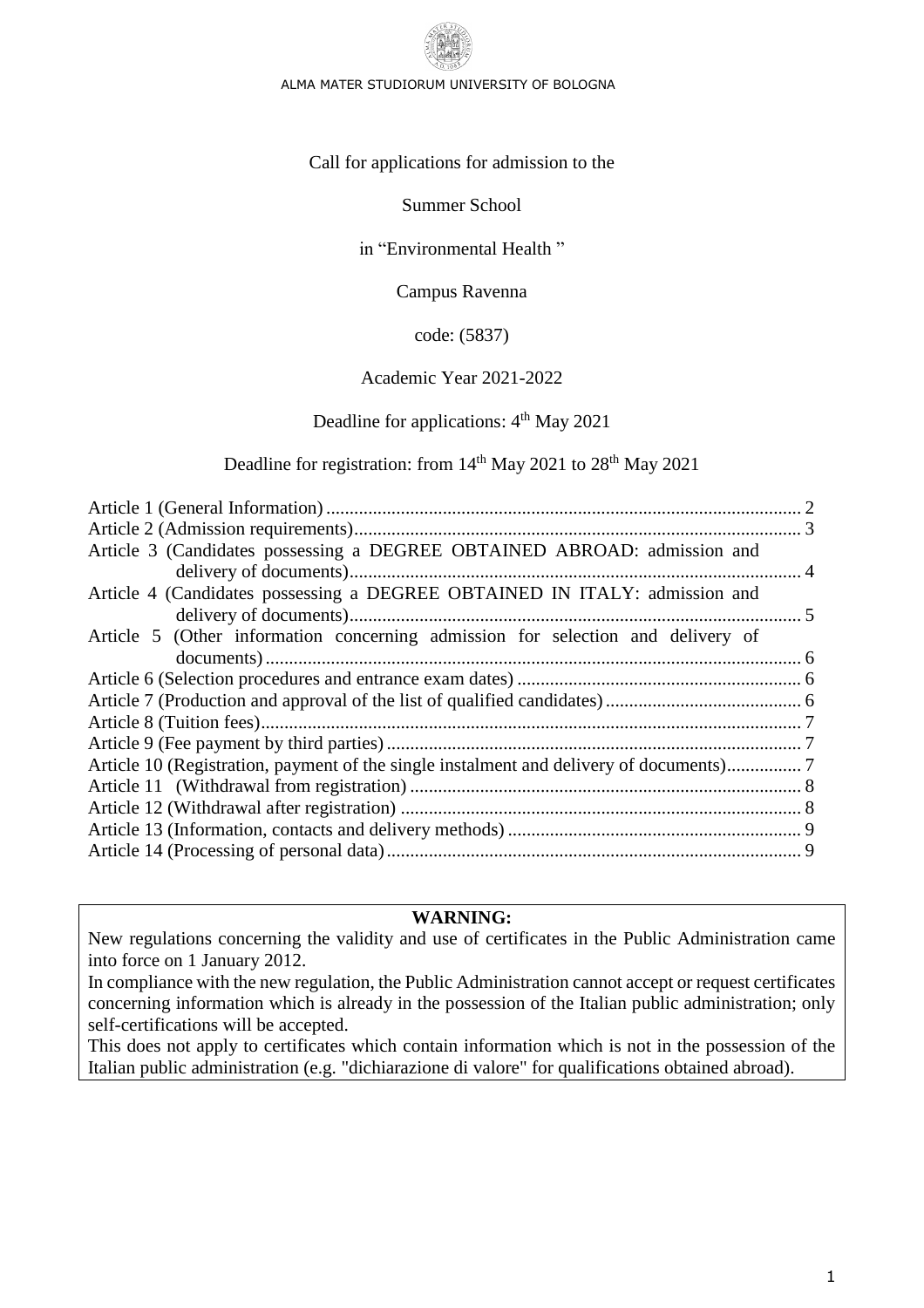

#### ALMA MATER STUDIORUM UNIVERSITY OF BOLOGNA

Call for applications for admission to the

Summer School

in "Environmental Health "

Campus Ravenna

code: (5837)

## Academic Year 2021-2022

## Deadline for applications: 4<sup>th</sup> May 2021

Deadline for registration: from 14<sup>th</sup> May 2021 to 28<sup>th</sup> May 2021

| Article 3 (Candidates possessing a DEGREE OBTAINED ABROAD: admission and        |  |
|---------------------------------------------------------------------------------|--|
|                                                                                 |  |
| Article 4 (Candidates possessing a DEGREE OBTAINED IN ITALY: admission and      |  |
|                                                                                 |  |
| Article 5 (Other information concerning admission for selection and delivery of |  |
|                                                                                 |  |
|                                                                                 |  |
|                                                                                 |  |
|                                                                                 |  |
|                                                                                 |  |
|                                                                                 |  |
|                                                                                 |  |
|                                                                                 |  |
|                                                                                 |  |
|                                                                                 |  |
|                                                                                 |  |

#### **WARNING:**

New regulations concerning the validity and use of certificates in the Public Administration came into force on 1 January 2012.

In compliance with the new regulation, the Public Administration cannot accept or request certificates concerning information which is already in the possession of the Italian public administration; only self-certifications will be accepted.

This does not apply to certificates which contain information which is not in the possession of the Italian public administration (e.g. "dichiarazione di valore" for qualifications obtained abroad).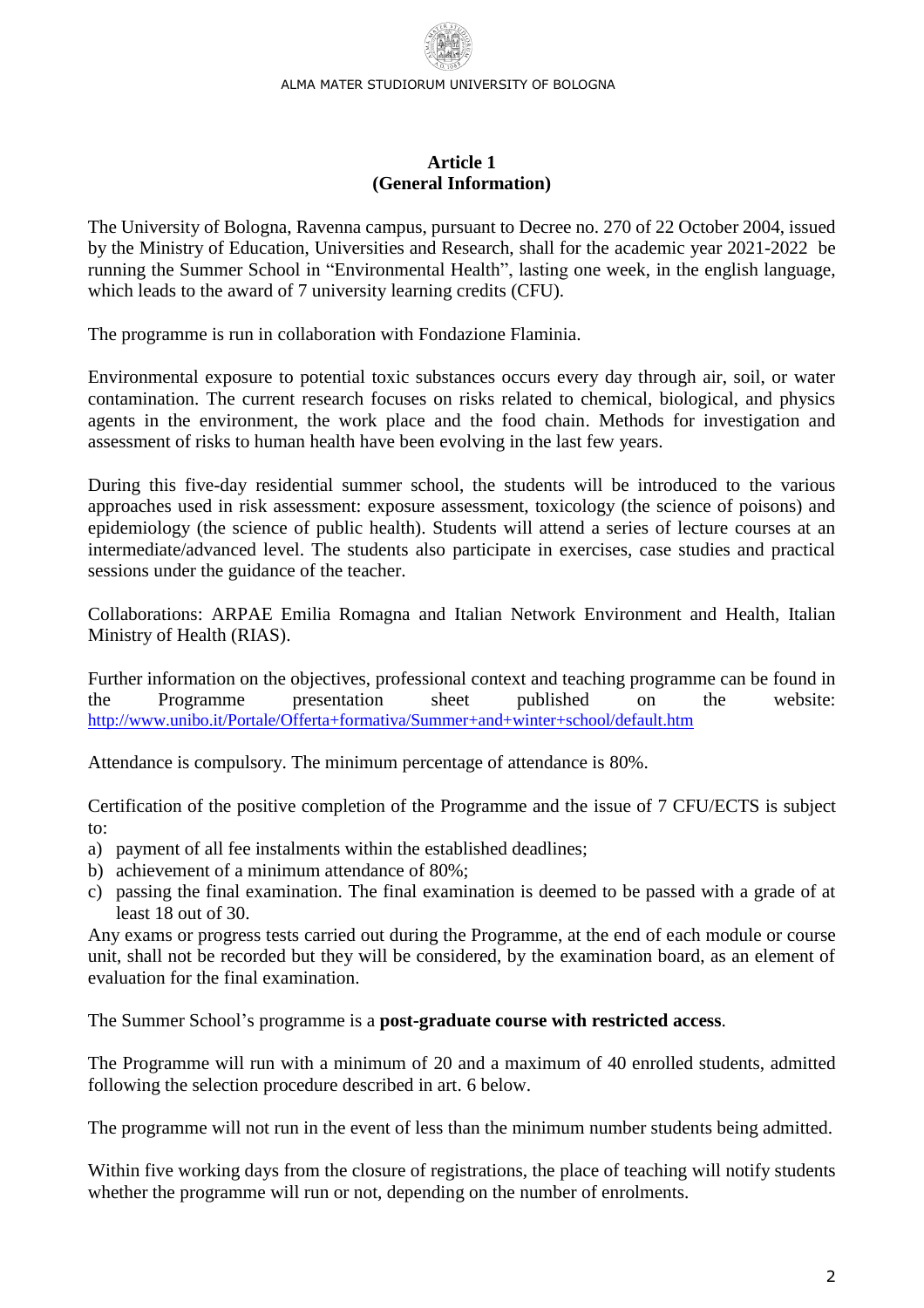#### **Article 1 (General Information)**

<span id="page-1-0"></span>The University of Bologna, Ravenna campus, pursuant to Decree no. 270 of 22 October 2004, issued by the Ministry of Education, Universities and Research, shall for the academic year 2021-2022 be running the Summer School in "Environmental Health", lasting one week, in the english language, which leads to the award of 7 university learning credits (CFU).

The programme is run in collaboration with Fondazione Flaminia.

Environmental exposure to potential toxic substances occurs every day through air, soil, or water contamination. The current research focuses on risks related to chemical, biological, and physics agents in the environment, the work place and the food chain. Methods for investigation and assessment of risks to human health have been evolving in the last few years.

During this five-day residential summer school, the students will be introduced to the various approaches used in risk assessment: exposure assessment, toxicology (the science of poisons) and epidemiology (the science of public health). Students will attend a series of lecture courses at an intermediate/advanced level. The students also participate in exercises, case studies and practical sessions under the guidance of the teacher.

Collaborations: ARPAE Emilia Romagna and Italian Network Environment and Health, Italian Ministry of Health (RIAS).

Further information on the objectives, professional context and teaching programme can be found in the Programme presentation sheet published on the website: <http://www.unibo.it/Portale/Offerta+formativa/Summer+and+winter+school/default.htm>

Attendance is compulsory. The minimum percentage of attendance is 80%.

Certification of the positive completion of the Programme and the issue of 7 CFU/ECTS is subject to:

- a) payment of all fee instalments within the established deadlines;
- b) achievement of a minimum attendance of 80%;
- c) passing the final examination. The final examination is deemed to be passed with a grade of at least 18 out of 30.

Any exams or progress tests carried out during the Programme, at the end of each module or course unit, shall not be recorded but they will be considered, by the examination board, as an element of evaluation for the final examination.

The Summer School's programme is a **post-graduate course with restricted access**.

The Programme will run with a minimum of 20 and a maximum of 40 enrolled students, admitted following the selection procedure described in art. 6 below.

The programme will not run in the event of less than the minimum number students being admitted.

Within five working days from the closure of registrations, the place of teaching will notify students whether the programme will run or not, depending on the number of enrolments.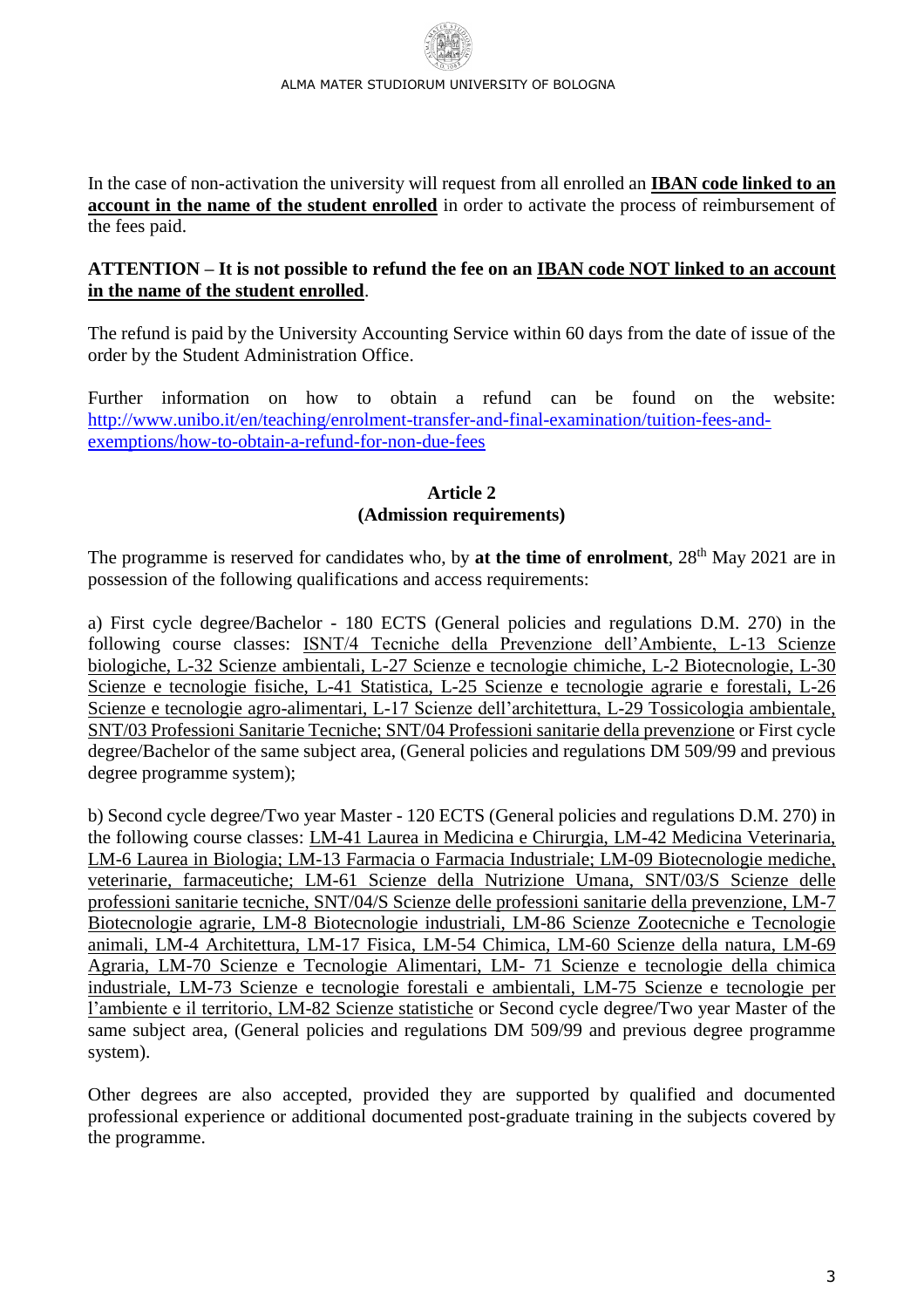In the case of non-activation the university will request from all enrolled an **IBAN code linked to an account in the name of the student enrolled** in order to activate the process of reimbursement of the fees paid.

### **ATTENTION – It is not possible to refund the fee on an IBAN code NOT linked to an account in the name of the student enrolled**.

The refund is paid by the University Accounting Service within 60 days from the date of issue of the order by the Student Administration Office.

Further information on how to obtain a refund can be found on the website: [http://www.unibo.it/en/teaching/enrolment-transfer-and-final-examination/tuition-fees-and](http://www.unibo.it/en/teaching/enrolment-transfer-and-final-examination/tuition-fees-and-exemptions/how-to-obtain-a-refund-for-non-due-fees)[exemptions/how-to-obtain-a-refund-for-non-due-fees](http://www.unibo.it/en/teaching/enrolment-transfer-and-final-examination/tuition-fees-and-exemptions/how-to-obtain-a-refund-for-non-due-fees)

#### **Article 2 (Admission requirements)**

<span id="page-2-0"></span>The programme is reserved for candidates who, by **at the time of enrolment**, 28<sup>th</sup> May 2021 are in possession of the following qualifications and access requirements:

a) First cycle degree/Bachelor - 180 ECTS (General policies and regulations D.M. 270) in the following course classes: ISNT/4 Tecniche della Prevenzione dell'Ambiente, L-13 Scienze biologiche, L-32 Scienze ambientali, L-27 Scienze e tecnologie chimiche, L-2 Biotecnologie, L-30 Scienze e tecnologie fisiche, L-41 Statistica, L-25 Scienze e tecnologie agrarie e forestali, L-26 Scienze e tecnologie agro-alimentari, L-17 Scienze dell'architettura, L-29 Tossicologia ambientale, SNT/03 Professioni Sanitarie Tecniche; SNT/04 Professioni sanitarie della prevenzione or First cycle degree/Bachelor of the same subject area, (General policies and regulations DM 509/99 and previous degree programme system);

b) Second cycle degree/Two year Master - 120 ECTS (General policies and regulations D.M. 270) in the following course classes: LM-41 Laurea in Medicina e Chirurgia, LM-42 Medicina Veterinaria, LM-6 Laurea in Biologia; LM-13 Farmacia o Farmacia Industriale; LM-09 Biotecnologie mediche, veterinarie, farmaceutiche; LM-61 Scienze della Nutrizione Umana, SNT/03/S Scienze delle professioni sanitarie tecniche, SNT/04/S Scienze delle professioni sanitarie della prevenzione, LM-7 Biotecnologie agrarie, LM-8 Biotecnologie industriali, LM-86 Scienze Zootecniche e Tecnologie animali, LM-4 Architettura, LM-17 Fisica, LM-54 Chimica, LM-60 Scienze della natura, LM-69 Agraria, LM-70 Scienze e Tecnologie Alimentari, LM- 71 Scienze e tecnologie della chimica industriale, LM-73 Scienze e tecnologie forestali e ambientali, LM-75 Scienze e tecnologie per l'ambiente e il territorio, LM-82 Scienze statistiche or Second cycle degree/Two year Master of the same subject area, (General policies and regulations DM 509/99 and previous degree programme system).

Other degrees are also accepted, provided they are supported by qualified and documented professional experience or additional documented post-graduate training in the subjects covered by the programme.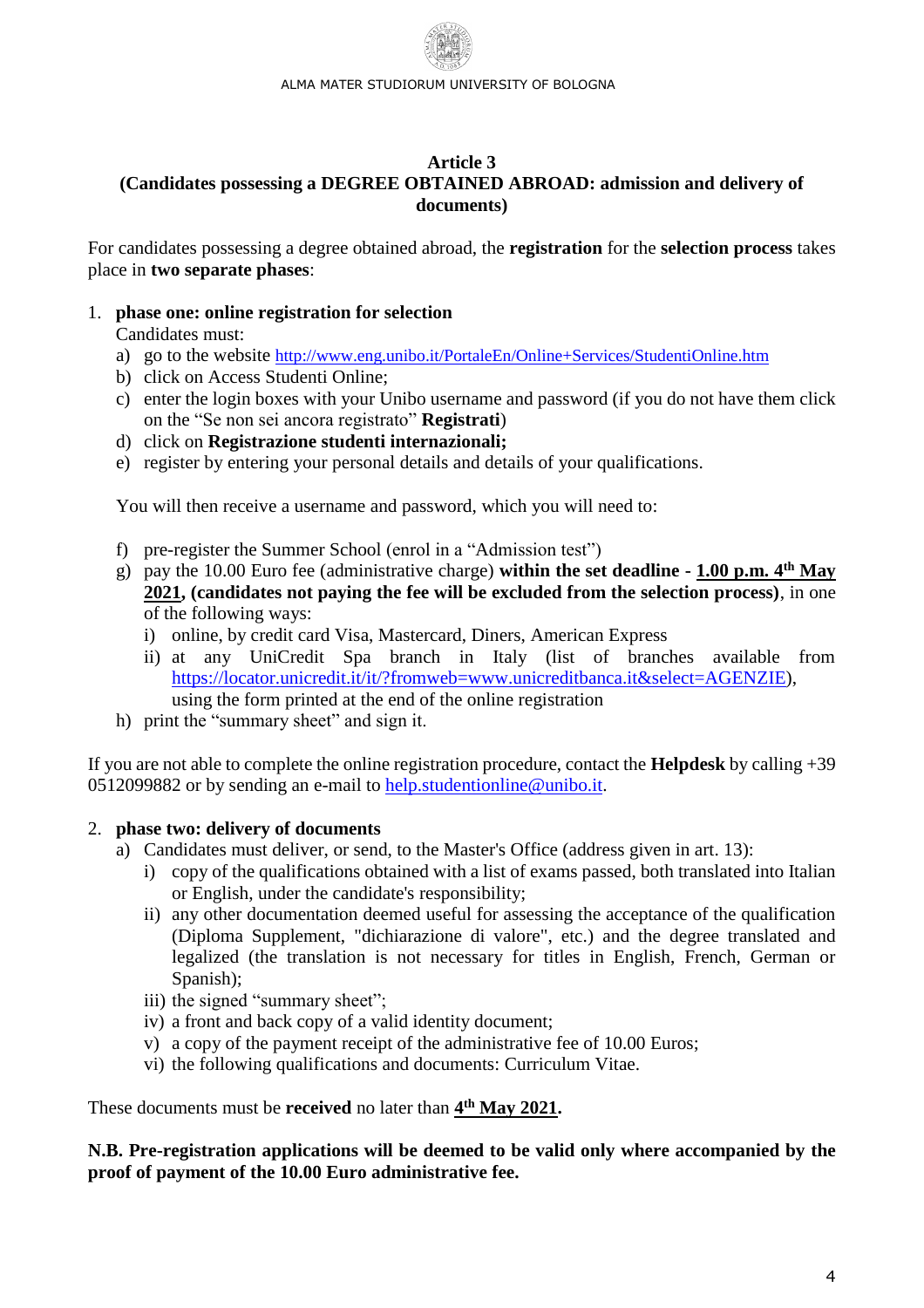#### <span id="page-3-0"></span>**Article 3 (Candidates possessing a DEGREE OBTAINED ABROAD: admission and delivery of documents)**

For candidates possessing a degree obtained abroad, the **registration** for the **selection process** takes place in **two separate phases**:

### 1. **phase one: online registration for selection**

Candidates must:

- a) go to the website <http://www.eng.unibo.it/PortaleEn/Online+Services/StudentiOnline.htm>
- b) click on Access Studenti Online;
- c) enter the login boxes with your Unibo username and password (if you do not have them click on the "Se non sei ancora registrato" **Registrati**)
- d) click on **Registrazione studenti internazionali;**
- e) register by entering your personal details and details of your qualifications.

You will then receive a username and password, which you will need to:

- f) pre-register the Summer School (enrol in a "Admission test")
- g) pay the 10.00 Euro fee (administrative charge) **within the set deadline - 1.00 p.m. 4 th May 2021, (candidates not paying the fee will be excluded from the selection process)**, in one of the following ways:
	- i) online, by credit card Visa, Mastercard, Diners, American Express
	- ii) at any UniCredit Spa branch in Italy (list of branches available from [https://locator.unicredit.it/it/?fromweb=www.unicreditbanca.it&select=AGENZIE\)](https://locator.unicredit.it/it/?fromweb=www.unicreditbanca.it&select=AGENZIE), using the form printed at the end of the online registration
- h) print the "summary sheet" and sign it.

If you are not able to complete the online registration procedure, contact the **Helpdesk** by calling +39 0512099882 or by sending an e-mail to [help.studentionline@unibo.it.](mailto:help.studentionline@unibo.it)

## 2. **phase two: delivery of documents**

- a) Candidates must deliver, or send, to the Master's Office (address given in art. 13):
	- i) copy of the qualifications obtained with a list of exams passed, both translated into Italian or English, under the candidate's responsibility;
	- ii) any other documentation deemed useful for assessing the acceptance of the qualification (Diploma Supplement, "dichiarazione di valore", etc.) and the degree translated and legalized (the translation is not necessary for titles in English, French, German or Spanish);
	- iii) the signed "summary sheet";
	- iv) a front and back copy of a valid identity document;
	- v) a copy of the payment receipt of the administrative fee of 10.00 Euros;
	- vi) the following qualifications and documents: Curriculum Vitae.

These documents must be **received** no later than  $4^{\text{th}}$  May 2021.

**N.B. Pre-registration applications will be deemed to be valid only where accompanied by the proof of payment of the 10.00 Euro administrative fee.**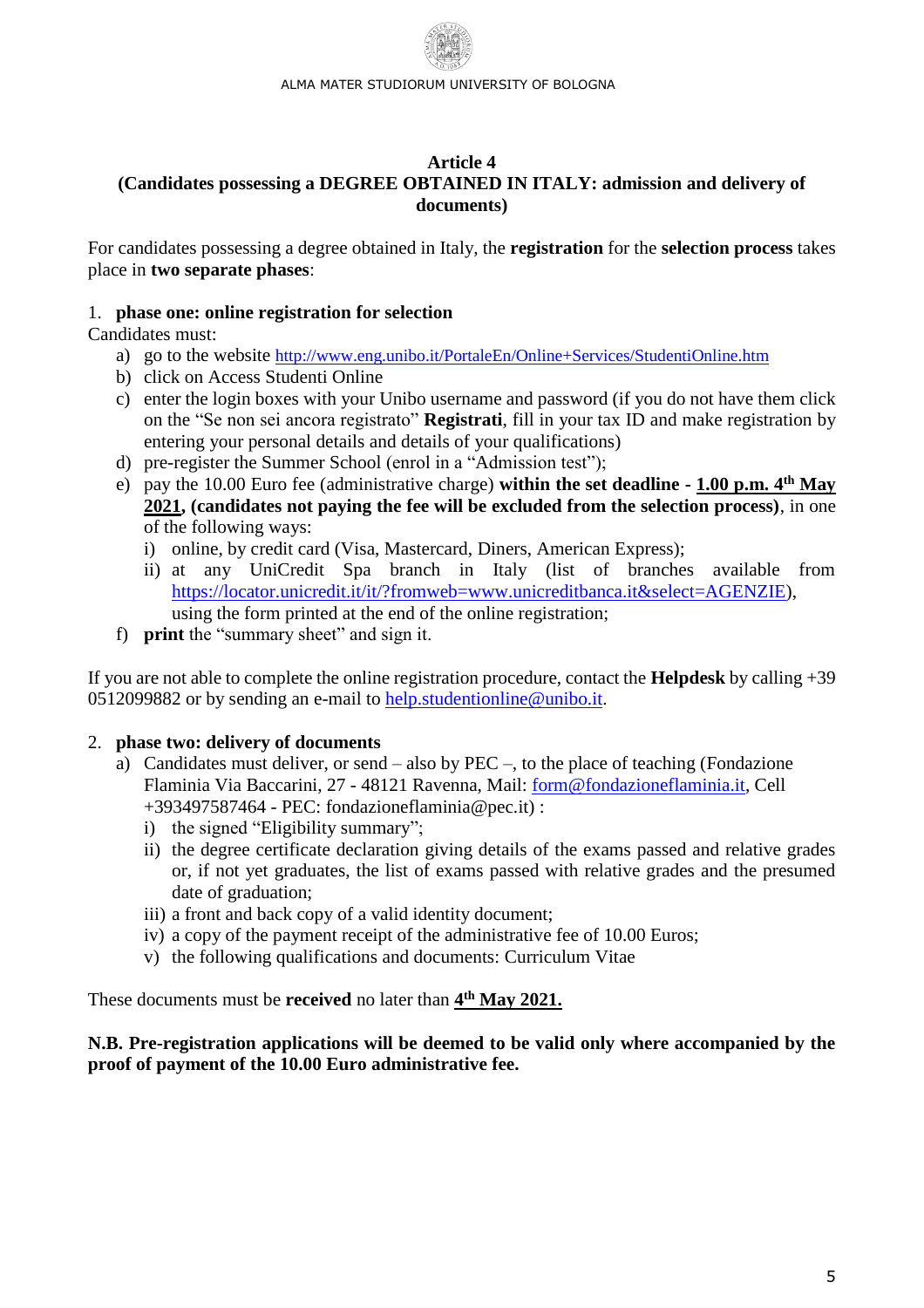#### <span id="page-4-0"></span>**Article 4 (Candidates possessing a DEGREE OBTAINED IN ITALY: admission and delivery of documents)**

For candidates possessing a degree obtained in Italy, the **registration** for the **selection process** takes place in **two separate phases**:

# 1. **phase one: online registration for selection**

Candidates must:

- a) go to the website <http://www.eng.unibo.it/PortaleEn/Online+Services/StudentiOnline.htm>
- b) click on Access Studenti Online
- c) enter the login boxes with your Unibo username and password (if you do not have them click on the "Se non sei ancora registrato" **Registrati**, fill in your tax ID and make registration by entering your personal details and details of your qualifications)
- d) pre-register the Summer School (enrol in a "Admission test");
- e) pay the 10.00 Euro fee (administrative charge) **within the set deadline - 1.00 p.m. 4 th May 2021, (candidates not paying the fee will be excluded from the selection process)**, in one of the following ways:
	- i) online, by credit card (Visa, Mastercard, Diners, American Express);
	- ii) at any UniCredit Spa branch in Italy (list of branches available from [https://locator.unicredit.it/it/?fromweb=www.unicreditbanca.it&select=AGENZIE\)](https://locator.unicredit.it/it/?fromweb=www.unicreditbanca.it&select=AGENZIE), using the form printed at the end of the online registration;
- f) **print** the "summary sheet" and sign it.

If you are not able to complete the online registration procedure, contact the **Helpdesk** by calling +39 0512099882 or by sending an e-mail to [help.studentionline@unibo.it.](mailto:help.studentionline@unibo.it)

# 2. **phase two: delivery of documents**

- a) Candidates must deliver, or send also by PEC –, to the place of teaching (Fondazione Flaminia Via Baccarini, 27 - 48121 Ravenna, Mail: [form@fondazioneflaminia.it,](mailto:form@fondazioneflaminia.it) Cell +393497587464 - PEC: fondazioneflaminia@pec.it) :
	- i) the signed "Eligibility summary";
	- ii) the degree certificate declaration giving details of the exams passed and relative grades or, if not yet graduates, the list of exams passed with relative grades and the presumed date of graduation;
	- iii) a front and back copy of a valid identity document;
	- iv) a copy of the payment receipt of the administrative fee of 10.00 Euros;
	- v) the following qualifications and documents: Curriculum Vitae

These documents must be **received** no later than  $4^{\text{th}}$  May 2021.

## **N.B. Pre-registration applications will be deemed to be valid only where accompanied by the proof of payment of the 10.00 Euro administrative fee.**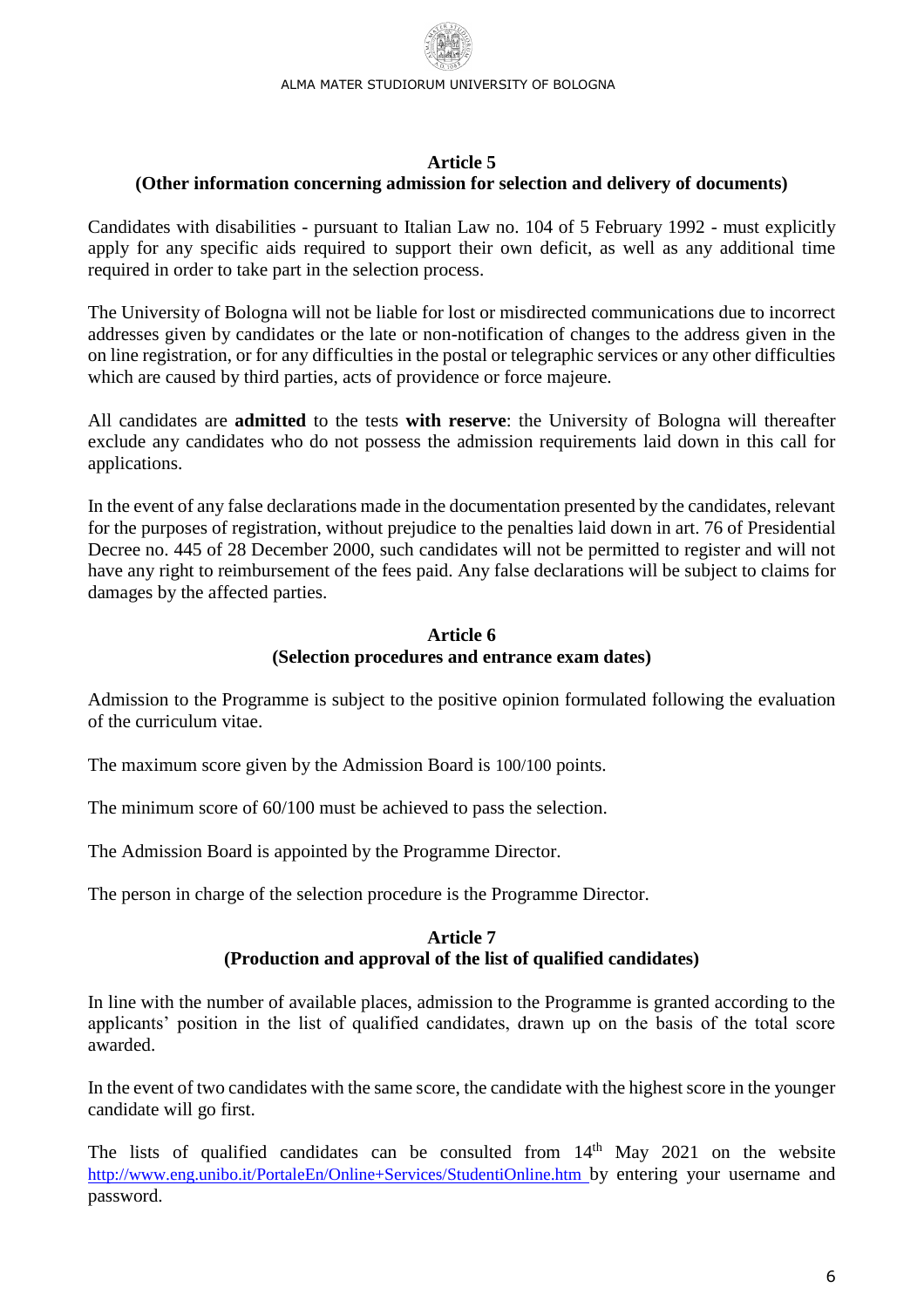### **Article 5**

### <span id="page-5-0"></span>**(Other information concerning admission for selection and delivery of documents)**

Candidates with disabilities - pursuant to Italian Law no. 104 of 5 February 1992 - must explicitly apply for any specific aids required to support their own deficit, as well as any additional time required in order to take part in the selection process.

The University of Bologna will not be liable for lost or misdirected communications due to incorrect addresses given by candidates or the late or non-notification of changes to the address given in the on line registration, or for any difficulties in the postal or telegraphic services or any other difficulties which are caused by third parties, acts of providence or force majeure.

All candidates are **admitted** to the tests **with reserve**: the University of Bologna will thereafter exclude any candidates who do not possess the admission requirements laid down in this call for applications.

In the event of any false declarations made in the documentation presented by the candidates, relevant for the purposes of registration, without prejudice to the penalties laid down in art. 76 of Presidential Decree no. 445 of 28 December 2000, such candidates will not be permitted to register and will not have any right to reimbursement of the fees paid. Any false declarations will be subject to claims for damages by the affected parties.

## **Article 6 (Selection procedures and entrance exam dates)**

<span id="page-5-1"></span>Admission to the Programme is subject to the positive opinion formulated following the evaluation of the curriculum vitae.

The maximum score given by the Admission Board is 100/100 points.

The minimum score of 60/100 must be achieved to pass the selection.

The Admission Board is appointed by the Programme Director.

<span id="page-5-2"></span>The person in charge of the selection procedure is the Programme Director.

## **Article 7 (Production and approval of the list of qualified candidates)**

In line with the number of available places, admission to the Programme is granted according to the applicants' position in the list of qualified candidates, drawn up on the basis of the total score awarded.

In the event of two candidates with the same score, the candidate with the highest score in the younger candidate will go first.

The lists of qualified candidates can be consulted from  $14<sup>th</sup>$  May 2021 on the website <http://www.eng.unibo.it/PortaleEn/Online+Services/StudentiOnline.htm> by entering your username and password.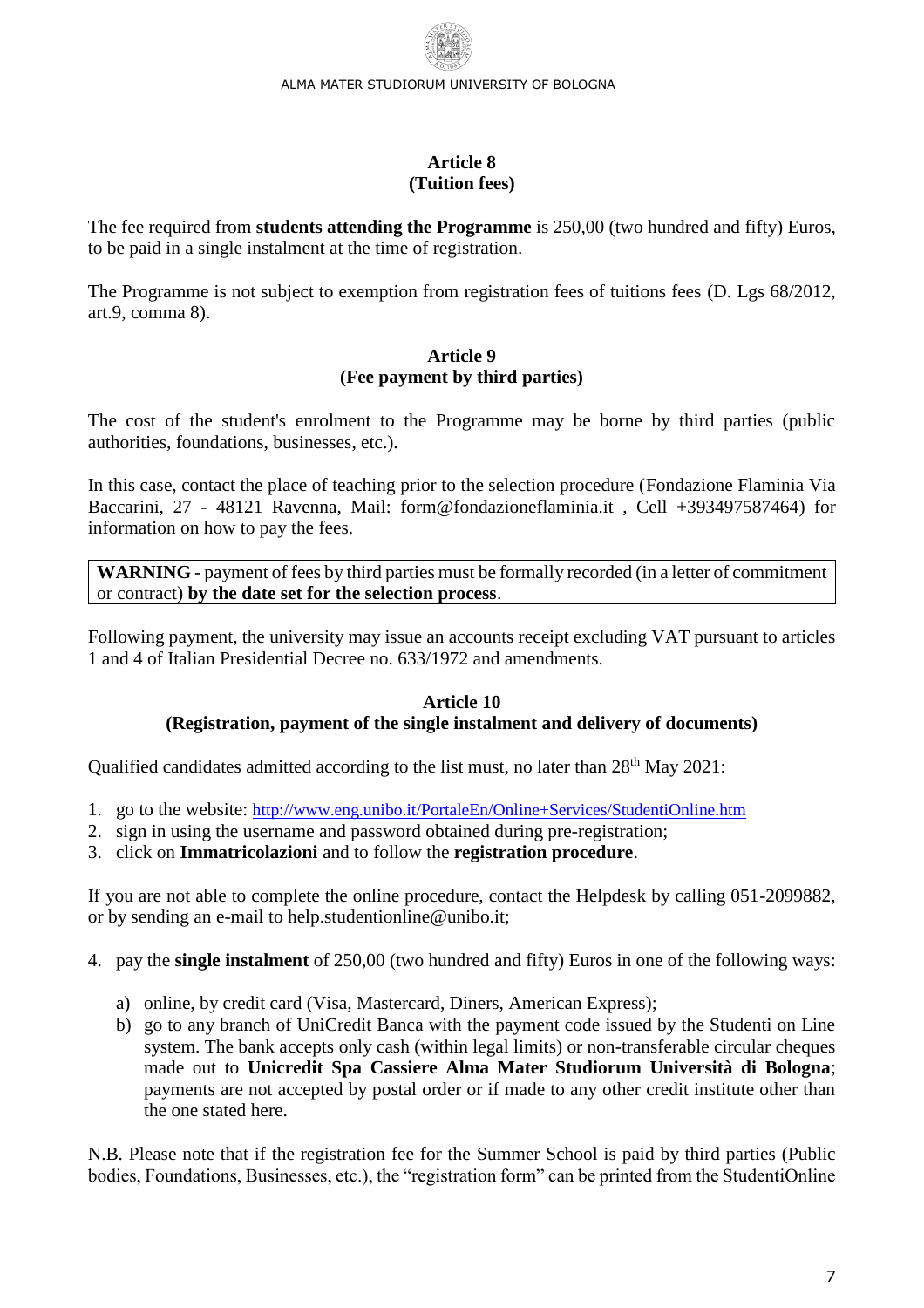#### **Article 8 (Tuition fees)**

<span id="page-6-0"></span>The fee required from **students attending the Programme** is 250,00 (two hundred and fifty) Euros, to be paid in a single instalment at the time of registration.

The Programme is not subject to exemption from registration fees of tuitions fees (D. Lgs 68/2012, art.9, comma 8).

# **Article 9 (Fee payment by third parties)**

<span id="page-6-1"></span>The cost of the student's enrolment to the Programme may be borne by third parties (public authorities, foundations, businesses, etc.).

In this case, contact the place of teaching prior to the selection procedure (Fondazione Flaminia Via Baccarini, 27 - 48121 Ravenna, Mail: form@fondazioneflaminia.it , Cell +393497587464) for information on how to pay the fees.

**WARNING** - payment of fees by third parties must be formally recorded (in a letter of commitment or contract) **by the date set for the selection process**.

Following payment, the university may issue an accounts receipt excluding VAT pursuant to articles 1 and 4 of Italian Presidential Decree no. 633/1972 and amendments.

#### **Article 10 (Registration, payment of the single instalment and delivery of documents)**

<span id="page-6-2"></span>Qualified candidates admitted according to the list must, no later than  $28<sup>th</sup>$  May 2021:

- 1. go to the website: <http://www.eng.unibo.it/PortaleEn/Online+Services/StudentiOnline.htm>
- 2. sign in using the username and password obtained during pre-registration;
- 3. click on **Immatricolazioni** and to follow the **registration procedure**.

If you are not able to complete the online procedure, contact the Helpdesk by calling 051-2099882, or by sending an e-mail to help.studentionline@unibo.it;

4. pay the **single instalment** of 250,00 (two hundred and fifty) Euros in one of the following ways:

- a) online, by credit card (Visa, Mastercard, Diners, American Express);
- b) go to any branch of UniCredit Banca with the payment code issued by the Studenti on Line system. The bank accepts only cash (within legal limits) or non-transferable circular cheques made out to **Unicredit Spa Cassiere Alma Mater Studiorum Università di Bologna**; payments are not accepted by postal order or if made to any other credit institute other than the one stated here.

N.B. Please note that if the registration fee for the Summer School is paid by third parties (Public bodies, Foundations, Businesses, etc.), the "registration form" can be printed from the StudentiOnline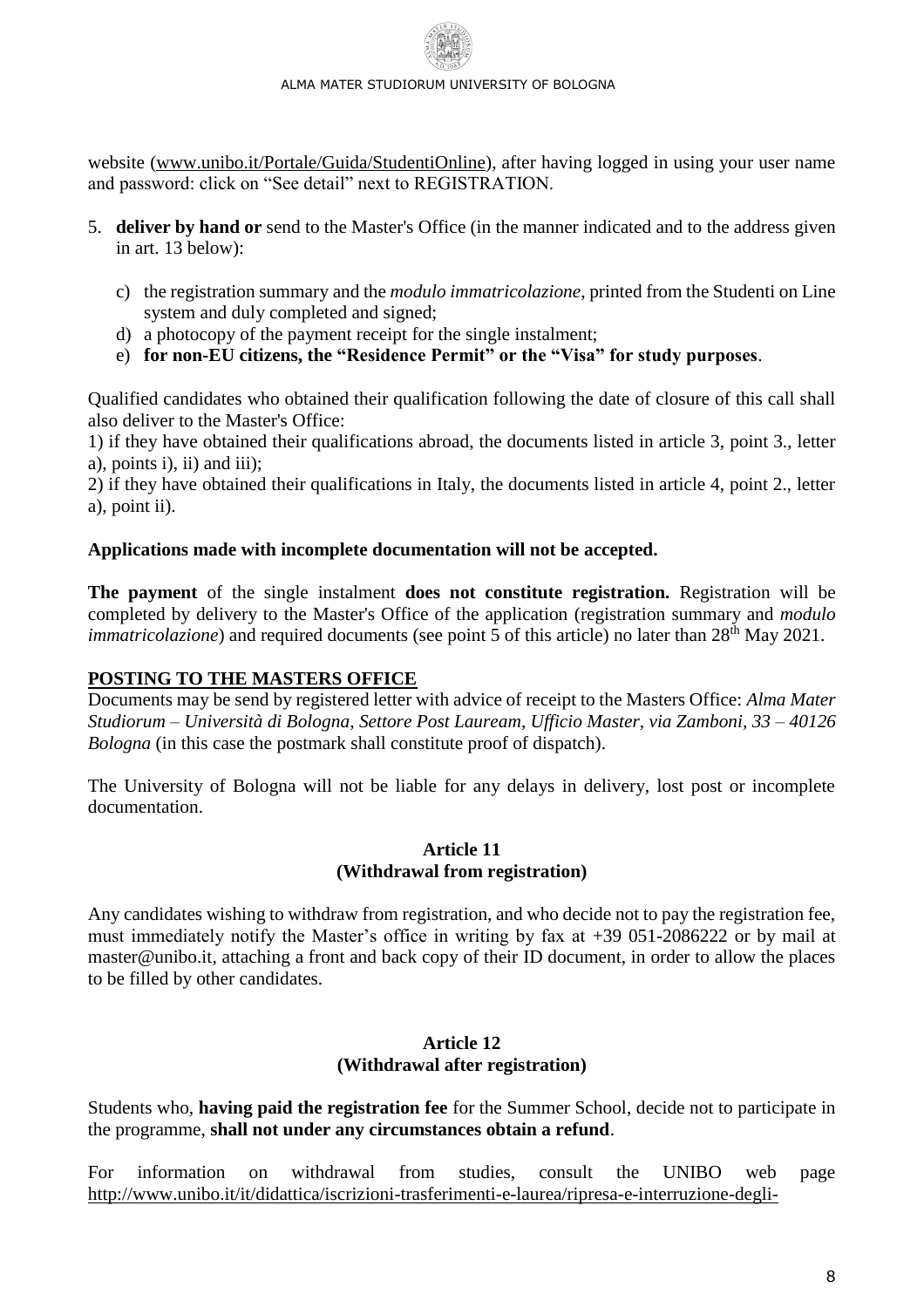website [\(www.unibo.it/Portale/Guida/StudentiOnline\)](http://www.unibo.it/Portale/Guida/StudentiOnline), after having logged in using your user name and password: click on "See detail" next to REGISTRATION.

- 5. **deliver by hand or** send to the Master's Office (in the manner indicated and to the address given in art. 13 below):
	- c) the registration summary and the *modulo immatricolazione*, printed from the Studenti on Line system and duly completed and signed;
	- d) a photocopy of the payment receipt for the single instalment;
	- e) **for non-EU citizens, the "Residence Permit" or the "Visa" for study purposes**.

Qualified candidates who obtained their qualification following the date of closure of this call shall also deliver to the Master's Office:

1) if they have obtained their qualifications abroad, the documents listed in article 3, point 3., letter a), points i), ii) and iii);

2) if they have obtained their qualifications in Italy, the documents listed in article 4, point 2., letter a), point ii).

## **Applications made with incomplete documentation will not be accepted.**

**The payment** of the single instalment **does not constitute registration.** Registration will be completed by delivery to the Master's Office of the application (registration summary and *modulo immatricolazione*) and required documents (see point 5 of this article) no later than 28<sup>th</sup> May 2021.

## **POSTING TO THE MASTERS OFFICE**

Documents may be send by registered letter with advice of receipt to the Masters Office: *Alma Mater Studiorum – Università di Bologna, Settore Post Lauream, Ufficio Master, via Zamboni, 33 – 40126 Bologna* (in this case the postmark shall constitute proof of dispatch).

<span id="page-7-0"></span>The University of Bologna will not be liable for any delays in delivery, lost post or incomplete documentation.

#### **Article 11 (Withdrawal from registration)**

<span id="page-7-1"></span>Any candidates wishing to withdraw from registration, and who decide not to pay the registration fee, must immediately notify the Master's office in writing by fax at +39 051-2086222 or by mail at [master@unibo.it,](mailto:master@unibo.it) attaching a front and back copy of their ID document, in order to allow the places to be filled by other candidates.

#### **Article 12 (Withdrawal after registration)**

<span id="page-7-2"></span>Students who, **having paid the registration fee** for the Summer School, decide not to participate in the programme, **shall not under any circumstances obtain a refund**.

For information on withdrawal from studies, consult the UNIBO web page [http://www.unibo.it/it/didattica/iscrizioni-trasferimenti-e-laurea/ripresa-e-interruzione-degli-](http://www.unibo.it/it/didattica/iscrizioni-trasferimenti-e-laurea/ripresa-e-interruzione-degli-studi/rinunciare-studi/)